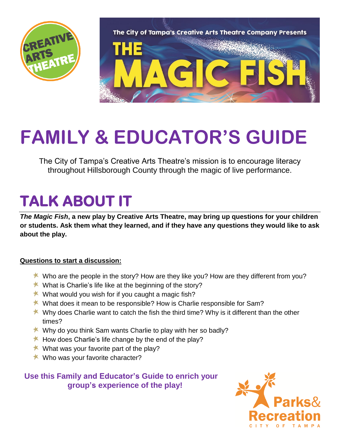



# **FAMILY & EDUCATOR'S GUIDE**

The City of Tampa's Creative Arts Theatre's mission is to encourage literacy throughout Hillsborough County through the magic of live performance.

## **TALK ABOUT IT**

*The Magic Fish***, a new play by Creative Arts Theatre, may bring up questions for your children or students. Ask them what they learned, and if they have any questions they would like to ask about the play.**

#### **Questions to start a discussion:**

- Who are the people in the story? How are they like you? How are they different from you?
- What is Charlie's life like at the beginning of the story?
- What would you wish for if you caught a magic fish?
- What does it mean to be responsible? How is Charlie responsible for Sam?
- Why does Charlie want to catch the fish the third time? Why is it different than the other times?
- Why do you think Sam wants Charlie to play with her so badly?
- $\star$  How does Charlie's life change by the end of the play?
- What was your favorite part of the play?
- $\star$  Who was your favorite character?

#### **Use this Family and Educator's Guide to enrich your group's experience of the play!**

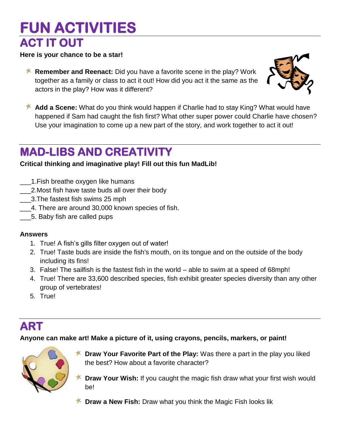## **FUN ACTIVITIES ACT IT OUT**

#### **Here is your chance to be a star!**

**★ Remember and Reenact:** Did you have a favorite scene in the play? Work together as a family or class to act it out! How did you act it the same as the actors in the play? How was it different?



★ Add a Scene: What do you think would happen if Charlie had to stay King? What would have happened if Sam had caught the fish first? What other super power could Charlie have chosen? Use your imagination to come up a new part of the story, and work together to act it out!

### **MAD-LIBS AND CREATIVITY**

#### **Critical thinking and imaginative play! Fill out this fun MadLib!**

- \_\_\_1.Fish breathe oxygen like humans
- \_\_\_2.Most fish have taste buds all over their body
- \_\_\_3.The fastest fish swims 25 mph
- \_\_\_4. There are around 30,000 known species of fish.
- \_\_\_5. Baby fish are called pups

#### **Answers**

- 1. True! A fish's gills filter oxygen out of water!
- 2. True! Taste buds are inside the fish's mouth, on its tongue and on the outside of the body including its fins!
- 3. False! The sailfish is the fastest fish in the world able to swim at a speed of 68mph!
- 4. True! There are 33,600 described species, fish exhibit greater species diversity than any other group of vertebrates!
- 5. True!

### **ART**

#### **Anyone can make art! Make a picture of it, using crayons, pencils, markers, or paint!**



- **Draw Your Favorite Part of the Play:** Was there a part in the play you liked the best? How about a favorite character?
- **Draw Your Wish:** If you caught the magic fish draw what your first wish would be!
- **Draw a New Fish:** Draw what you think the Magic Fish looks lik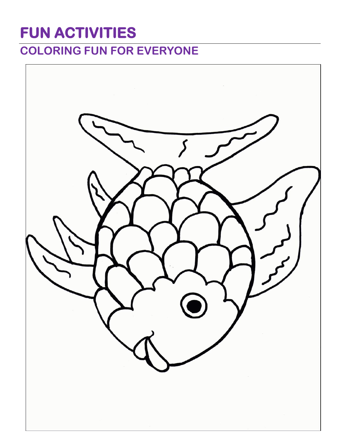## **FUN ACTIVITIES**

### **COLORING FUN FOR EVERYONE**